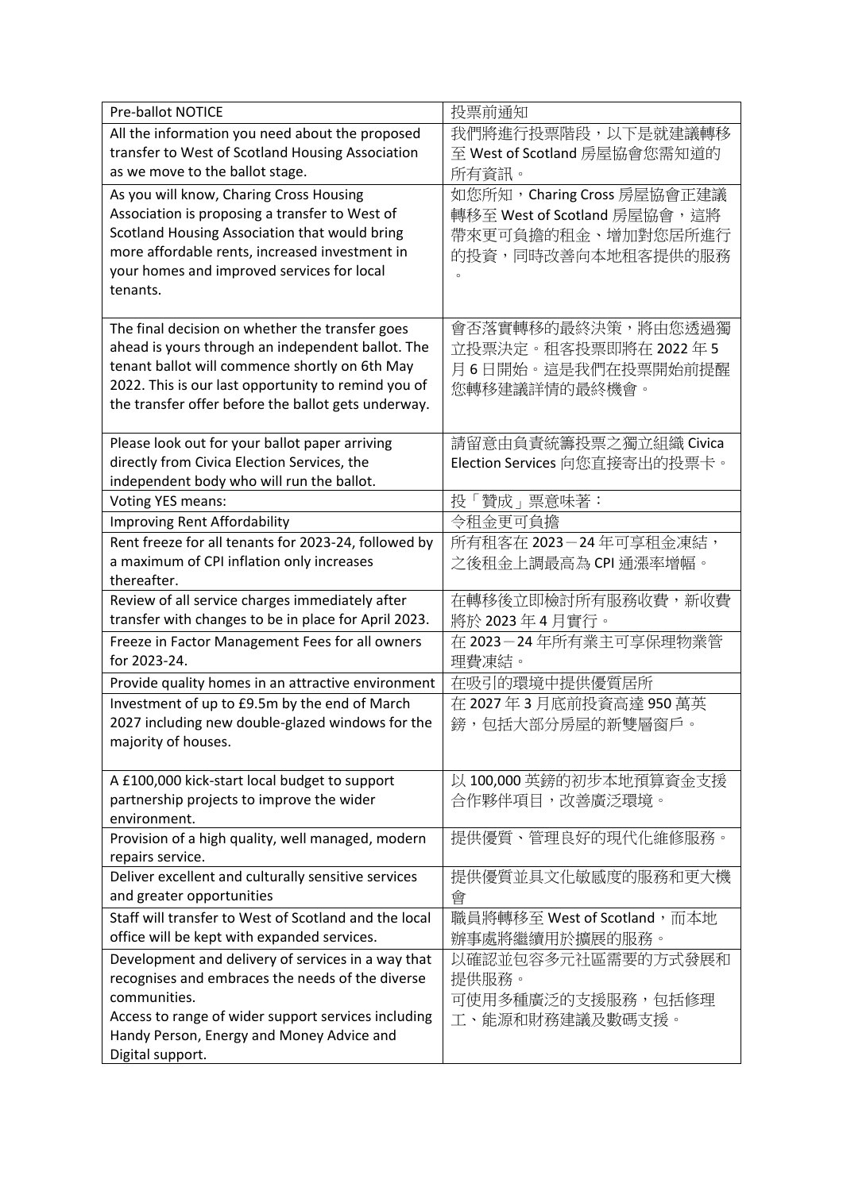| <b>Pre-ballot NOTICE</b>                                                                             | 投票前通知                         |
|------------------------------------------------------------------------------------------------------|-------------------------------|
| All the information you need about the proposed                                                      | 我們將進行投票階段,以下是就建議轉移            |
| transfer to West of Scotland Housing Association                                                     | 至 West of Scotland 房屋協會您需知道的  |
| as we move to the ballot stage.                                                                      | 所有資訊。                         |
| As you will know, Charing Cross Housing                                                              | 如您所知, Charing Cross 房屋協會正建議   |
| Association is proposing a transfer to West of                                                       | 轉移至 West of Scotland 房屋協會,這將  |
| Scotland Housing Association that would bring                                                        | 帶來更可負擔的租金、增加對您居所進行            |
| more affordable rents, increased investment in                                                       | 的投資,同時改善向本地租客提供的服務            |
| your homes and improved services for local                                                           | $\circ$                       |
| tenants.                                                                                             |                               |
|                                                                                                      |                               |
| The final decision on whether the transfer goes                                                      | 會否落實轉移的最終決策,將由您透過獨            |
| ahead is yours through an independent ballot. The                                                    | 立投票決定。租客投票即將在2022年5           |
| tenant ballot will commence shortly on 6th May                                                       | 月6日開始。這是我們在投票開始前提醒            |
| 2022. This is our last opportunity to remind you of                                                  | 您轉移建議詳情的最終機會。                 |
| the transfer offer before the ballot gets underway.                                                  |                               |
|                                                                                                      |                               |
| Please look out for your ballot paper arriving                                                       | 請留意由負責統籌投票之獨立組織 Civica        |
| directly from Civica Election Services, the                                                          | Election Services 向您直接寄出的投票卡。 |
| independent body who will run the ballot.                                                            |                               |
| <b>Voting YES means:</b>                                                                             | 投「贊成」票意味著:                    |
| Improving Rent Affordability                                                                         | 令租金更可負擔                       |
| Rent freeze for all tenants for 2023-24, followed by                                                 | 所有租客在 2023-24年可享租金凍結,         |
| a maximum of CPI inflation only increases                                                            | 之後租金上調最高為 CPI 通漲率增幅。          |
| thereafter.                                                                                          |                               |
| Review of all service charges immediately after                                                      | 在轉移後立即檢討所有服務收費,新收費            |
| transfer with changes to be in place for April 2023.                                                 | 將於 2023年4月實行。                 |
| Freeze in Factor Management Fees for all owners                                                      | 在 2023-24年所有業主可享保理物業管         |
| for 2023-24.                                                                                         | 理費凍結。                         |
| Provide quality homes in an attractive environment                                                   | 在吸引的環境中提供優質居所                 |
| Investment of up to £9.5m by the end of March                                                        | 在 2027年3月底前投資高達 950萬英         |
| 2027 including new double-glazed windows for the                                                     | 鎊,包括大部分房屋的新雙層窗戶。              |
| majority of houses.                                                                                  |                               |
|                                                                                                      |                               |
| A £100,000 kick-start local budget to support                                                        | 以 100,000 英鎊的初步本地預算資金支援       |
| partnership projects to improve the wider                                                            | 合作夥伴項目,改善廣泛環境。                |
| environment.                                                                                         |                               |
| Provision of a high quality, well managed, modern                                                    | 提供優質、管理良好的現代化維修服務。            |
| repairs service.<br>Deliver excellent and culturally sensitive services                              | 提供優質並具文化敏感度的服務和更大機            |
| and greater opportunities                                                                            | 會                             |
|                                                                                                      |                               |
| Staff will transfer to West of Scotland and the local<br>office will be kept with expanded services. | 職員將轉移至 West of Scotland, 而本地  |
|                                                                                                      | 辦事處將繼續用於擴展的服務。                |
| Development and delivery of services in a way that                                                   | 以確認並包容多元社區需要的方式發展和            |
| recognises and embraces the needs of the diverse<br>communities.                                     | 提供服務。                         |
|                                                                                                      | 可使用多種廣泛的支援服務,包括修理             |
| Access to range of wider support services including<br>Handy Person, Energy and Money Advice and     | 工、能源和財務建議及數碼支援。               |
| Digital support.                                                                                     |                               |
|                                                                                                      |                               |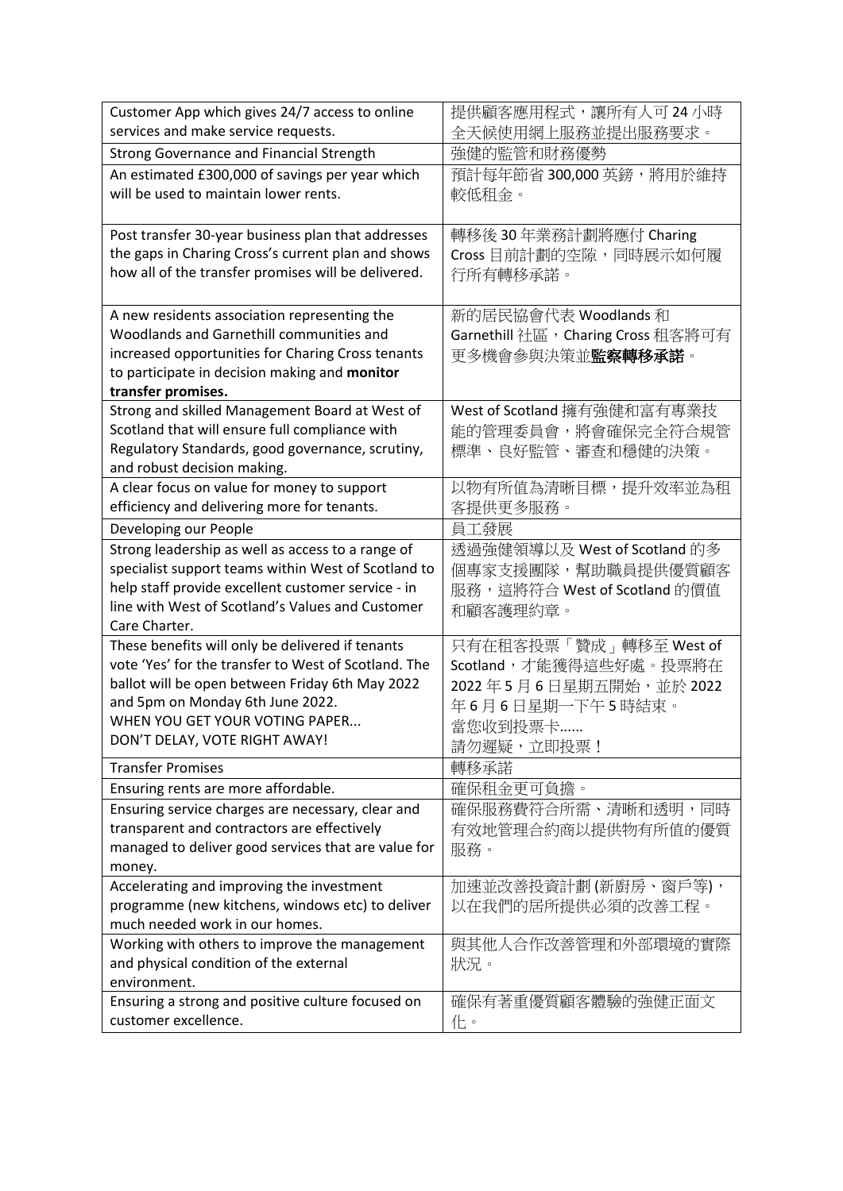| Customer App which gives 24/7 access to online                                                         | 提供顧客應用程式,讓所有人可24小時                 |
|--------------------------------------------------------------------------------------------------------|------------------------------------|
| services and make service requests.                                                                    | 全天候使用網上服務並提出服務要求。                  |
| <b>Strong Governance and Financial Strength</b>                                                        | 強健的監管和財務優勢                         |
| An estimated £300,000 of savings per year which                                                        | 預計每年節省 300,000 英鎊, 將用於維持           |
| will be used to maintain lower rents.                                                                  | 較低租金。                              |
|                                                                                                        |                                    |
| Post transfer 30-year business plan that addresses                                                     | 轉移後30年業務計劃將應付 Charing              |
| the gaps in Charing Cross's current plan and shows                                                     | Cross 目前計劃的空隙,同時展示如何履              |
| how all of the transfer promises will be delivered.                                                    | 行所有轉移承諾。                           |
|                                                                                                        |                                    |
| A new residents association representing the<br>Woodlands and Garnethill communities and               | 新的居民協會代表 Woodlands 和               |
| increased opportunities for Charing Cross tenants                                                      | Garnethill 社區, Charing Cross 租客將可有 |
| to participate in decision making and monitor                                                          | 更多機會參與決策並 <b>監察轉移承諾</b> 。          |
| transfer promises.                                                                                     |                                    |
| Strong and skilled Management Board at West of                                                         | West of Scotland 擁有強健和富有專業技        |
| Scotland that will ensure full compliance with                                                         | 能的管理委員會,將會確保完全符合規管                 |
| Regulatory Standards, good governance, scrutiny,                                                       | 標準、良好監管、審查和穩健的決策。                  |
| and robust decision making.                                                                            |                                    |
| A clear focus on value for money to support                                                            | 以物有所值為清晰目標,提升效率並為租                 |
| efficiency and delivering more for tenants.                                                            | 客提供更多服務。                           |
| Developing our People                                                                                  | 員工發展                               |
| Strong leadership as well as access to a range of                                                      | 透過強健領導以及 West of Scotland 的多       |
| specialist support teams within West of Scotland to                                                    | 個專家支援團隊,幫助職員提供優質顧客                 |
| help staff provide excellent customer service - in<br>line with West of Scotland's Values and Customer | 服務,這將符合 West of Scotland 的價值       |
| Care Charter.                                                                                          | 和顧客護理約章。                           |
| These benefits will only be delivered if tenants                                                       | 只有在租客投票「贊成」轉移至 West of             |
| vote 'Yes' for the transfer to West of Scotland. The                                                   | Scotland,才能獲得這些好處。投票將在             |
| ballot will be open between Friday 6th May 2022                                                        | 2022年5月6日星期五開始,並於2022              |
| and 5pm on Monday 6th June 2022.                                                                       | 年6月6日星期一下午5時結束。                    |
| WHEN YOU GET YOUR VOTING PAPER                                                                         | 當您收到投票卡                            |
| DON'T DELAY, VOTE RIGHT AWAY!                                                                          | 請勿遲疑,立即投票!                         |
| <b>Transfer Promises</b>                                                                               | 轉移承諾                               |
| Ensuring rents are more affordable.                                                                    | 確保租金更可負擔。                          |
| Ensuring service charges are necessary, clear and                                                      | 確保服務費符合所需、清晰和透明,同時                 |
| transparent and contractors are effectively                                                            | 有效地管理合約商以提供物有所值的優質                 |
| managed to deliver good services that are value for                                                    | 服務。                                |
| money.                                                                                                 |                                    |
| Accelerating and improving the investment                                                              | 加速並改善投資計劃(新廚房、窗戶等),                |
| programme (new kitchens, windows etc) to deliver                                                       | 以在我們的居所提供必須的改善工程。                  |
| much needed work in our homes.                                                                         |                                    |
| Working with others to improve the management                                                          | 與其他人合作改善管理和外部環境的實際                 |
| and physical condition of the external                                                                 | 狀況。                                |
| environment.                                                                                           |                                    |
| Ensuring a strong and positive culture focused on<br>customer excellence.                              | 確保有著重優質顧客體驗的強健正面文                  |
|                                                                                                        | 化。                                 |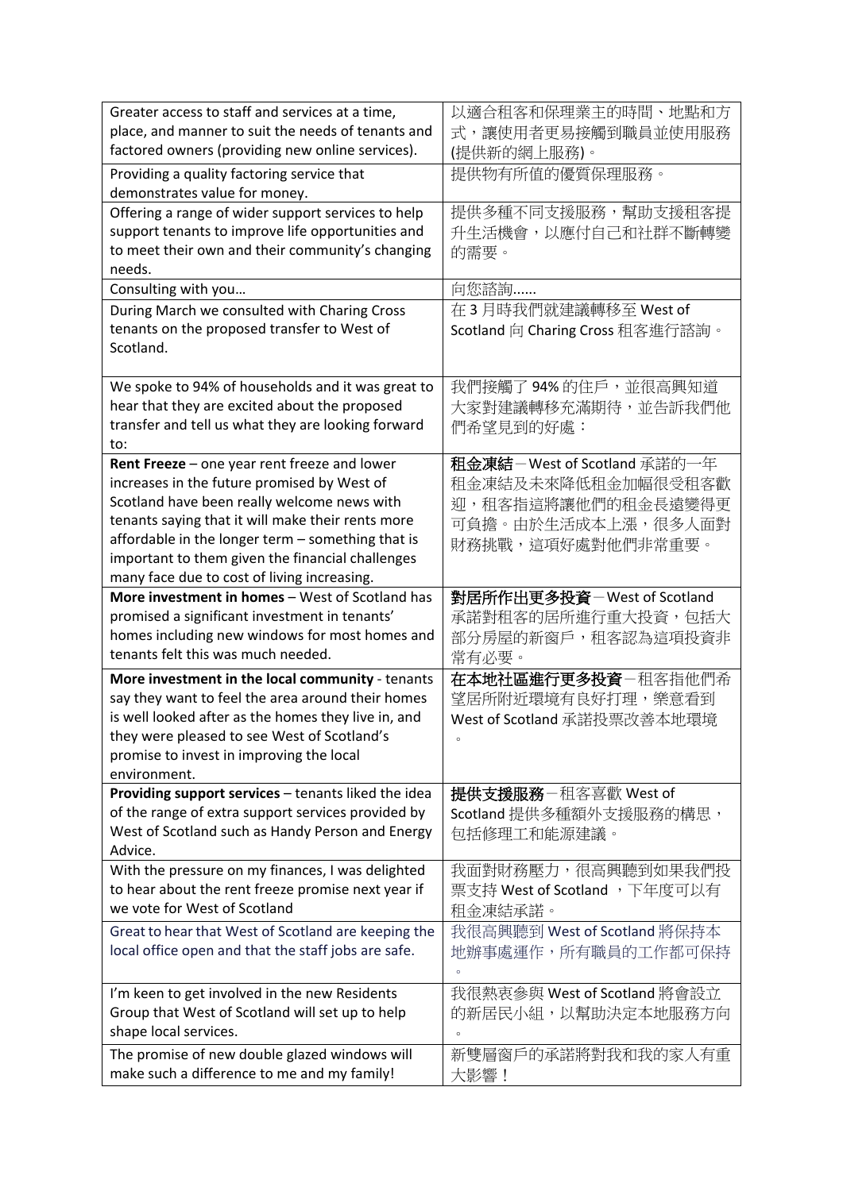| Greater access to staff and services at a time,                                                        | 以適合租客和保理業主的時間、地點和方                |
|--------------------------------------------------------------------------------------------------------|-----------------------------------|
| place, and manner to suit the needs of tenants and<br>factored owners (providing new online services). | 式,讓使用者更易接觸到職員並使用服務<br>(提供新的網上服務)。 |
| Providing a quality factoring service that                                                             | 提供物有所值的優質保理服務。                    |
| demonstrates value for money.                                                                          |                                   |
| Offering a range of wider support services to help                                                     | 提供多種不同支援服務,幫助支援租客提                |
| support tenants to improve life opportunities and                                                      | 升生活機會,以應付自己和社群不斷轉變                |
| to meet their own and their community's changing                                                       | 的需要。                              |
| needs.                                                                                                 |                                   |
| Consulting with you                                                                                    | 向您諮詢……                            |
| During March we consulted with Charing Cross                                                           | 在3月時我們就建議轉移至 West of              |
| tenants on the proposed transfer to West of                                                            | Scotland 向 Charing Cross 租客進行諮詢。  |
| Scotland.                                                                                              |                                   |
|                                                                                                        |                                   |
| We spoke to 94% of households and it was great to                                                      | 我們接觸了94%的住戶,並很高興知道                |
| hear that they are excited about the proposed                                                          | 大家對建議轉移充滿期待,並告訴我們他                |
| transfer and tell us what they are looking forward                                                     | 們希望見到的好處:                         |
| to:<br>Rent Freeze - one year rent freeze and lower                                                    | 租金凍結-West of Scotland 承諾的一年       |
| increases in the future promised by West of                                                            | 租金凍結及未來降低租金加幅很受租客歡                |
| Scotland have been really welcome news with                                                            |                                   |
| tenants saying that it will make their rents more                                                      | 迎,租客指這將讓他們的租金長遠變得更                |
| affordable in the longer term - something that is                                                      | 可負擔。由於生活成本上漲,很多人面對                |
| important to them given the financial challenges                                                       | 財務挑戰,這項好處對他們非常重要。                 |
| many face due to cost of living increasing.                                                            |                                   |
| More investment in homes - West of Scotland has                                                        | 對居所作出更多投資–West of Scotland        |
| promised a significant investment in tenants'                                                          | 承諾對租客的居所進行重大投資,包括大                |
| homes including new windows for most homes and                                                         | 部分房屋的新窗戶,租客認為這項投資非                |
| tenants felt this was much needed.                                                                     | 常有必要。                             |
| More investment in the local community - tenants                                                       | 在本地社區進行更多投資–租客指他們希                |
| say they want to feel the area around their homes                                                      | 望居所附近環境有良好打理,樂意看到                 |
| is well looked after as the homes they live in, and                                                    | West of Scotland 承諾投票改善本地環境       |
| they were pleased to see West of Scotland's                                                            | $\circ$                           |
| promise to invest in improving the local                                                               |                                   |
| environment.                                                                                           |                                   |
| Providing support services - tenants liked the idea                                                    | 提供支援服務–租客喜歡 West of               |
| of the range of extra support services provided by                                                     | Scotland 提供多種額外支援服務的構思,           |
| West of Scotland such as Handy Person and Energy                                                       | 包括修理工和能源建議。                       |
| Advice.                                                                                                |                                   |
| With the pressure on my finances, I was delighted                                                      | 我面對財務壓力,很高興聽到如果我們投                |
| to hear about the rent freeze promise next year if                                                     | 票支持 West of Scotland ,下年度可以有      |
| we vote for West of Scotland                                                                           | 租金凍結承諾。                           |
| Great to hear that West of Scotland are keeping the                                                    | 我很高興聽到 West of Scotland 將保持本      |
| local office open and that the staff jobs are safe.                                                    | 地辦事處運作,所有職員的工作都可保持                |
|                                                                                                        |                                   |
| I'm keen to get involved in the new Residents                                                          | 我很熱衷參與 West of Scotland 將會設立      |
| Group that West of Scotland will set up to help                                                        | 的新居民小組,以幫助決定本地服務方向                |
| shape local services.                                                                                  |                                   |
| The promise of new double glazed windows will                                                          | 新雙層窗戶的承諾將對我和我的家人有重                |
| make such a difference to me and my family!                                                            | 大影響!                              |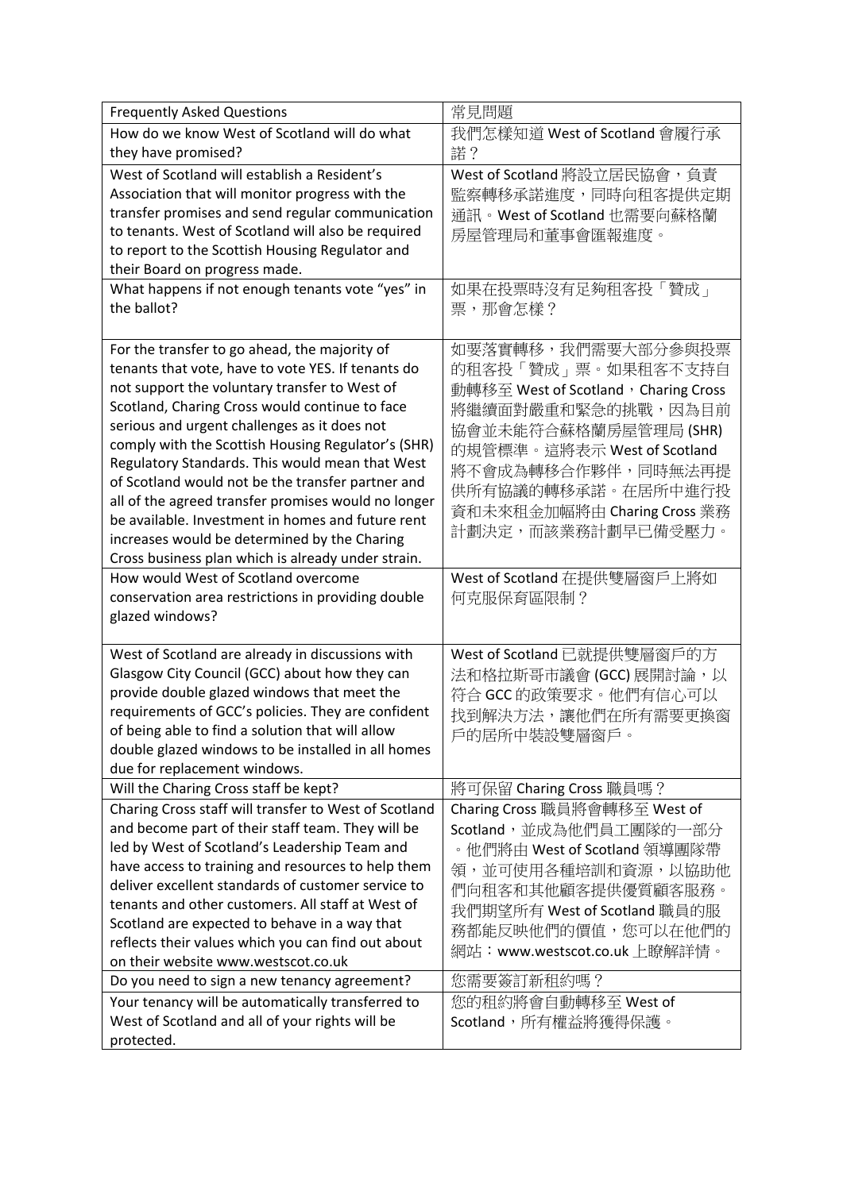| <b>Frequently Asked Questions</b>                     | 常見問題                                 |
|-------------------------------------------------------|--------------------------------------|
| How do we know West of Scotland will do what          | 我們怎樣知道 West of Scotland 會履行承         |
| they have promised?                                   | 諾?                                   |
| West of Scotland will establish a Resident's          | West of Scotland 將設立居民協會, 負責         |
| Association that will monitor progress with the       | 監察轉移承諾進度,同時向租客提供定期                   |
| transfer promises and send regular communication      | 通訊。West of Scotland 也需要向蘇格蘭          |
| to tenants. West of Scotland will also be required    | 房屋管理局和董事會匯報進度。                       |
| to report to the Scottish Housing Regulator and       |                                      |
| their Board on progress made.                         |                                      |
| What happens if not enough tenants vote "yes" in      | 如果在投票時沒有足夠租客投「贊成」                    |
| the ballot?                                           | 票,那會怎樣?                              |
|                                                       |                                      |
| For the transfer to go ahead, the majority of         | 如要落實轉移,我們需要大部分參與投票                   |
| tenants that vote, have to vote YES. If tenants do    | 的租客投「贊成」票。如果租客不支持自                   |
| not support the voluntary transfer to West of         | 動轉移至 West of Scotland, Charing Cross |
| Scotland, Charing Cross would continue to face        | 將繼續面對嚴重和緊急的挑戰,因為目前                   |
| serious and urgent challenges as it does not          | 協會並未能符合蘇格蘭房屋管理局(SHR)                 |
| comply with the Scottish Housing Regulator's (SHR)    |                                      |
| Regulatory Standards. This would mean that West       | 的規管標準。這將表示 West of Scotland          |
| of Scotland would not be the transfer partner and     | 將不會成為轉移合作夥伴,同時無法再提                   |
| all of the agreed transfer promises would no longer   | 供所有協議的轉移承諾。在居所中進行投                   |
| be available. Investment in homes and future rent     | 資和未來租金加幅將由 Charing Cross 業務          |
| increases would be determined by the Charing          | 計劃決定,而該業務計劃早已備受壓力。                   |
| Cross business plan which is already under strain.    |                                      |
| How would West of Scotland overcome                   | West of Scotland 在提供雙層窗戶上將如          |
| conservation area restrictions in providing double    | 何克服保育區限制?                            |
| glazed windows?                                       |                                      |
|                                                       |                                      |
| West of Scotland are already in discussions with      | West of Scotland 已就提供雙層窗戶的方          |
| Glasgow City Council (GCC) about how they can         | 法和格拉斯哥市議會 (GCC) 展開討論, 以              |
| provide double glazed windows that meet the           | 符合 GCC 的政策要求。他們有信心可以                 |
| requirements of GCC's policies. They are confident    | 找到解決方法,讓他們在所有需要更換窗                   |
| of being able to find a solution that will allow      | 戶的居所中裝設雙層窗戶。                         |
| double glazed windows to be installed in all homes    |                                      |
| due for replacement windows.                          |                                      |
| Will the Charing Cross staff be kept?                 | 將可保留 Charing Cross 職員嗎?              |
| Charing Cross staff will transfer to West of Scotland | Charing Cross 職員將會轉移至 West of        |
| and become part of their staff team. They will be     | Scotland, 並成為他們員工團隊的一部分              |
| led by West of Scotland's Leadership Team and         | 。他們將由 West of Scotland 領導團隊帶         |
| have access to training and resources to help them    | 領,並可使用各種培訓和資源,以協助他                   |
| deliver excellent standards of customer service to    | 們向租客和其他顧客提供優質顧客服務。                   |
| tenants and other customers. All staff at West of     | 我們期望所有 West of Scotland 職員的服         |
| Scotland are expected to behave in a way that         | 務都能反映他們的價值,您可以在他們的                   |
| reflects their values which you can find out about    | 網站:www.westscot.co.uk 上瞭解詳情。         |
| on their website www.westscot.co.uk                   |                                      |
| Do you need to sign a new tenancy agreement?          | 您需要簽訂新租約嗎?                           |
| Your tenancy will be automatically transferred to     | 您的租約將會自動轉移至 West of                  |
| West of Scotland and all of your rights will be       | Scotland,所有權益將獲得保護。                  |
| protected.                                            |                                      |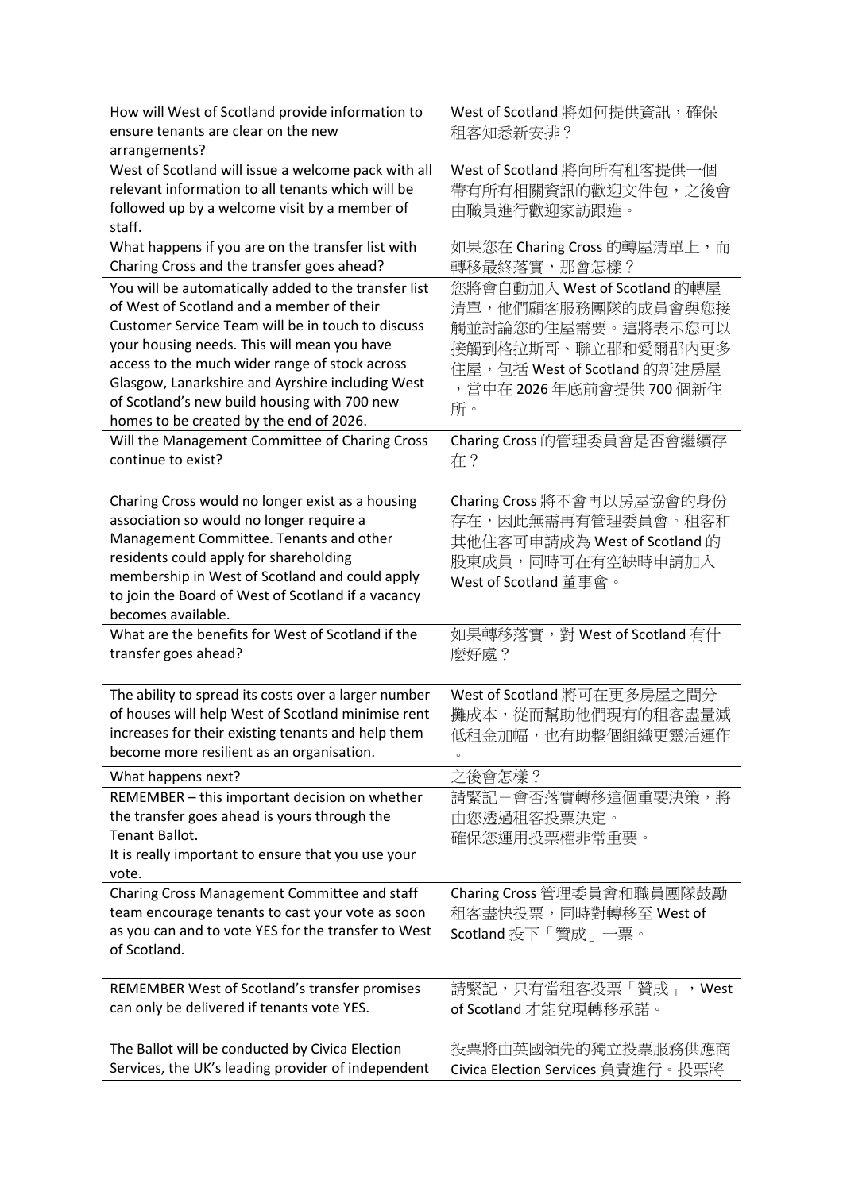| How will West of Scotland provide information to<br>ensure tenants are clear on the new                    | West of Scotland 將如何提供資訊, 確保      |
|------------------------------------------------------------------------------------------------------------|-----------------------------------|
| arrangements?                                                                                              | 租客知悉新安排?                          |
| West of Scotland will issue a welcome pack with all                                                        | West of Scotland 將向所有租客提供一個       |
| relevant information to all tenants which will be                                                          | 帶有所有相關資訊的歡迎文件包,之後會                |
| followed up by a welcome visit by a member of                                                              | 由職員進行歡迎家訪跟進。                      |
| staff.                                                                                                     |                                   |
| What happens if you are on the transfer list with                                                          | 如果您在 Charing Cross 的轉屋清單上,而       |
| Charing Cross and the transfer goes ahead?                                                                 | 轉移最終落實,那會怎樣?                      |
| You will be automatically added to the transfer list                                                       | 您將會自動加入 West of Scotland 的轉屋      |
| of West of Scotland and a member of their                                                                  | 清單,他們顧客服務團隊的成員會與您接                |
| Customer Service Team will be in touch to discuss                                                          | 觸並討論您的住屋需要。這將表示您可以                |
| your housing needs. This will mean you have                                                                | 接觸到格拉斯哥、聯立郡和愛爾郡內更多                |
| access to the much wider range of stock across                                                             | 住屋,包括 West of Scotland 的新建房屋      |
| Glasgow, Lanarkshire and Ayrshire including West                                                           | 當中在 2026年底前會提供 700個新住             |
| of Scotland's new build housing with 700 new                                                               | 所。                                |
| homes to be created by the end of 2026.                                                                    | Charing Cross 的管理委員會是否會繼續存        |
| Will the Management Committee of Charing Cross<br>continue to exist?                                       | 在?                                |
|                                                                                                            |                                   |
| Charing Cross would no longer exist as a housing                                                           | Charing Cross 將不會再以房屋協會的身份        |
| association so would no longer require a                                                                   | 存在,因此無需再有管理委員會。租客和                |
| Management Committee. Tenants and other                                                                    | 其他住客可申請成為 West of Scotland 的      |
| residents could apply for shareholding                                                                     | 股東成員,同時可在有空缺時申請加入                 |
| membership in West of Scotland and could apply                                                             | West of Scotland 董事會。             |
| to join the Board of West of Scotland if a vacancy                                                         |                                   |
| becomes available.                                                                                         |                                   |
| What are the benefits for West of Scotland if the                                                          | 如果轉移落實,對 West of Scotland 有什      |
| transfer goes ahead?                                                                                       | 麼好處?                              |
|                                                                                                            |                                   |
| The ability to spread its costs over a larger number<br>of houses will help West of Scotland minimise rent | West of Scotland 將可在更多房屋之間分       |
| increases for their existing tenants and help them                                                         | 攤成本,從而幫助他們現有的租客盡量減                |
| become more resilient as an organisation.                                                                  | 低租金加幅,也有助整個組織更靈活運作<br>$\circ$     |
| What happens next?                                                                                         | 之後會怎樣?                            |
| REMEMBER - this important decision on whether                                                              | 請緊記-會否落實轉移這個重要決策,將                |
| the transfer goes ahead is yours through the                                                               | 由您透過租客投票決定。                       |
| Tenant Ballot.                                                                                             | 確保您運用投票權非常重要。                     |
| It is really important to ensure that you use your                                                         |                                   |
| vote.                                                                                                      |                                   |
| Charing Cross Management Committee and staff                                                               | Charing Cross 管理委員會和職員團隊鼓勵        |
| team encourage tenants to cast your vote as soon                                                           | 租客盡快投票,同時對轉移至 West of             |
| as you can and to vote YES for the transfer to West                                                        | Scotland 投下「贊成」一票。                |
| of Scotland.                                                                                               |                                   |
| REMEMBER West of Scotland's transfer promises                                                              | 請緊記,只有當租客投票「贊成」<br>,West          |
| can only be delivered if tenants vote YES.                                                                 | of Scotland 才能兌現轉移承諾。             |
|                                                                                                            |                                   |
| The Ballot will be conducted by Civica Election                                                            | 投票將由英國領先的獨立投票服務供應商                |
| Services, the UK's leading provider of independent                                                         | Civica Election Services 負責進行。投票將 |